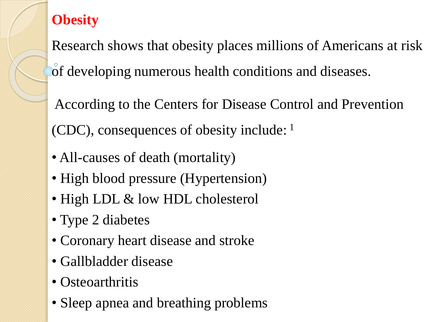## **Obesity**

Research shows that obesity places millions of Americans at risk of developing numerous health conditions and diseases.

According to the Centers for Disease Control and Prevention (CDC), consequences of obesity include: <sup>1</sup>

- All-causes of death (mortality)
- High blood pressure (Hypertension)
- High LDL & low HDL cholesterol
- Type 2 diabetes
- Coronary heart disease and stroke
- Gallbladder disease
- Osteoarthritis
- Sleep apnea and breathing problems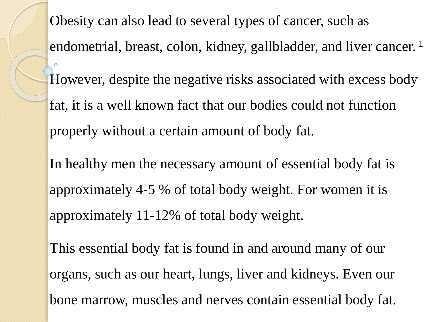Obesity can also lead to several types of cancer, such as endometrial, breast, colon, kidney, gallbladder, and liver cancer.<sup>1</sup> However, despite the negative risks associated with excess body fat, it is a well known fact that our bodies could not function properly without a certain amount of body fat. In healthy men the necessary amount of essential body fat is approximately 4-5 % of total body weight. For women it is approximately 11-12% of total body weight.

This essential body fat is found in and around many of our organs, such as our heart, lungs, liver and kidneys. Even our bone marrow, muscles and nerves contain essential body fat.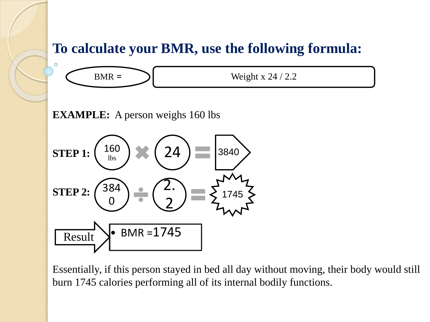## **To calculate your BMR, use the following formula:**



**EXAMPLE:** A person weighs 160 lbs



Essentially, if this person stayed in bed all day without moving, their body would still burn 1745 calories performing all of its internal bodily functions.